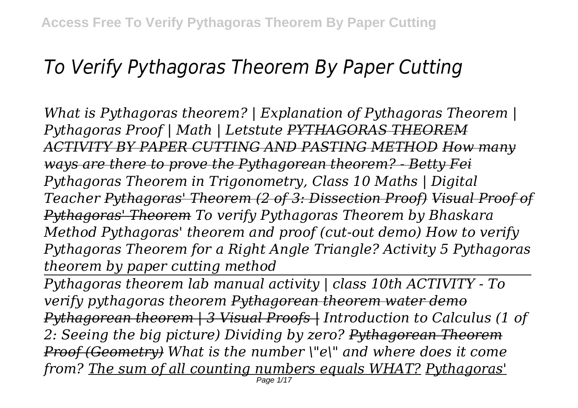# *To Verify Pythagoras Theorem By Paper Cutting*

*What is Pythagoras theorem? | Explanation of Pythagoras Theorem | Pythagoras Proof | Math | Letstute PYTHAGORAS THEOREM ACTIVITY BY PAPER CUTTING AND PASTING METHOD How many ways are there to prove the Pythagorean theorem? - Betty Fei Pythagoras Theorem in Trigonometry, Class 10 Maths | Digital Teacher Pythagoras' Theorem (2 of 3: Dissection Proof) Visual Proof of Pythagoras' Theorem To verify Pythagoras Theorem by Bhaskara Method Pythagoras' theorem and proof (cut-out demo) How to verify Pythagoras Theorem for a Right Angle Triangle? Activity 5 Pythagoras theorem by paper cutting method*

*Pythagoras theorem lab manual activity | class 10th ACTIVITY - To verify pythagoras theorem Pythagorean theorem water demo Pythagorean theorem | 3 Visual Proofs | Introduction to Calculus (1 of 2: Seeing the big picture) Dividing by zero? Pythagorean Theorem Proof (Geometry) What is the number \"e\" and where does it come from? The sum of all counting numbers equals WHAT? Pythagoras'* Page 1/17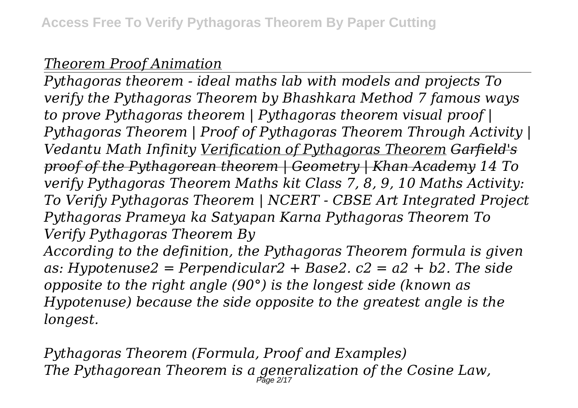## *Theorem Proof Animation*

*Pythagoras theorem - ideal maths lab with models and projects To verify the Pythagoras Theorem by Bhashkara Method 7 famous ways to prove Pythagoras theorem | Pythagoras theorem visual proof | Pythagoras Theorem | Proof of Pythagoras Theorem Through Activity | Vedantu Math Infinity Verification of Pythagoras Theorem Garfield's proof of the Pythagorean theorem | Geometry | Khan Academy 14 To verify Pythagoras Theorem Maths kit Class 7, 8, 9, 10 Maths Activity: To Verify Pythagoras Theorem | NCERT - CBSE Art Integrated Project Pythagoras Prameya ka Satyapan Karna Pythagoras Theorem To Verify Pythagoras Theorem By According to the definition, the Pythagoras Theorem formula is given as: Hypotenuse2 = Perpendicular2 + Base2. c2 = a2 + b2. The side opposite to the right angle (90°) is the longest side (known as Hypotenuse) because the side opposite to the greatest angle is the*

*longest.*

*Pythagoras Theorem (Formula, Proof and Examples) The Pythagorean Theorem is a generalization of the Cosine Law,* Page 2/17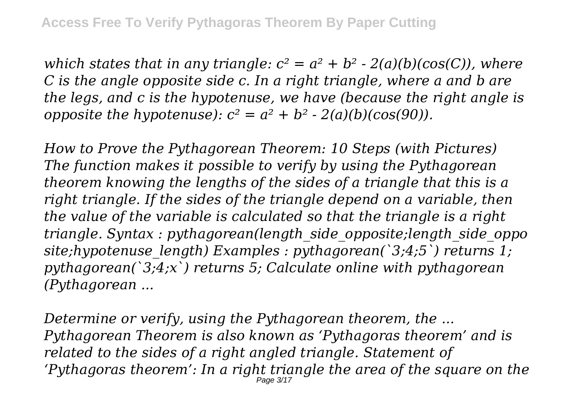*which states that in any triangle:*  $c^2 = a^2 + b^2 - 2(a)(b)(cos(C))$ , where *C is the angle opposite side c. In a right triangle, where a and b are the legs, and c is the hypotenuse, we have (because the right angle is opposite the hypotenuse):*  $c^2 = a^2 + b^2 - 2(a)(b)(cos(90))$ .

*How to Prove the Pythagorean Theorem: 10 Steps (with Pictures) The function makes it possible to verify by using the Pythagorean theorem knowing the lengths of the sides of a triangle that this is a right triangle. If the sides of the triangle depend on a variable, then the value of the variable is calculated so that the triangle is a right triangle. Syntax : pythagorean(length\_side\_opposite;length\_side\_oppo site;hypotenuse\_length) Examples : pythagorean(`3;4;5`) returns 1; pythagorean(`3;4;x`) returns 5; Calculate online with pythagorean (Pythagorean ...*

*Determine or verify, using the Pythagorean theorem, the ... Pythagorean Theorem is also known as 'Pythagoras theorem' and is related to the sides of a right angled triangle. Statement of 'Pythagoras theorem': In a right triangle the area of the square on the* Page 3/17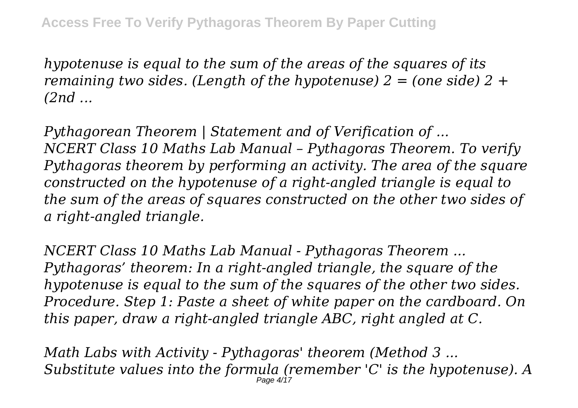*hypotenuse is equal to the sum of the areas of the squares of its remaining two sides. (Length of the hypotenuse) 2 = (one side) 2 + (2nd ...*

*Pythagorean Theorem | Statement and of Verification of ... NCERT Class 10 Maths Lab Manual – Pythagoras Theorem. To verify Pythagoras theorem by performing an activity. The area of the square constructed on the hypotenuse of a right-angled triangle is equal to the sum of the areas of squares constructed on the other two sides of a right-angled triangle.*

*NCERT Class 10 Maths Lab Manual - Pythagoras Theorem ... Pythagoras' theorem: In a right-angled triangle, the square of the hypotenuse is equal to the sum of the squares of the other two sides. Procedure. Step 1: Paste a sheet of white paper on the cardboard. On this paper, draw a right-angled triangle ABC, right angled at C.*

*Math Labs with Activity - Pythagoras' theorem (Method 3 ... Substitute values into the formula (remember 'C' is the hypotenuse). A* Page 4/17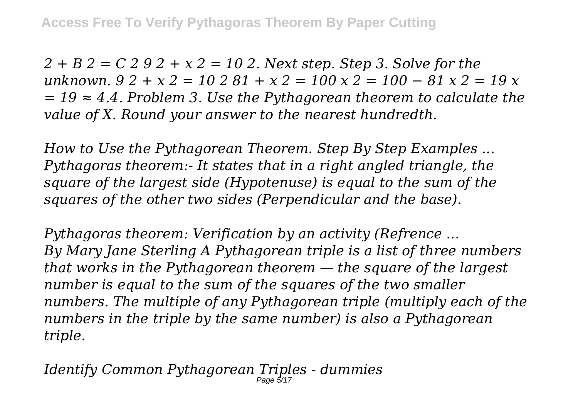*2 + B 2 = C 2 9 2 + x 2 = 10 2. Next step. Step 3. Solve for the unknown. 9 2 + x 2 = 10 2 81 + x 2 = 100 x 2 = 100 − 81 x 2 = 19 x = 19 ≈ 4.4. Problem 3. Use the Pythagorean theorem to calculate the value of X. Round your answer to the nearest hundredth.*

*How to Use the Pythagorean Theorem. Step By Step Examples ... Pythagoras theorem:- It states that in a right angled triangle, the square of the largest side (Hypotenuse) is equal to the sum of the squares of the other two sides (Perpendicular and the base).*

*Pythagoras theorem: Verification by an activity (Refrence ... By Mary Jane Sterling A Pythagorean triple is a list of three numbers that works in the Pythagorean theorem — the square of the largest number is equal to the sum of the squares of the two smaller numbers. The multiple of any Pythagorean triple (multiply each of the numbers in the triple by the same number) is also a Pythagorean triple.*

*Identify Common Pythagorean Triples - dummies* Page 5/17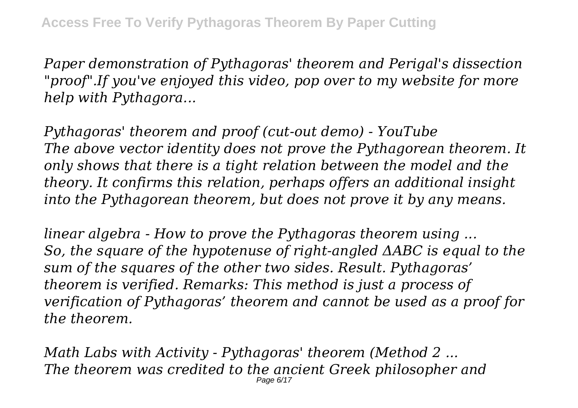*Paper demonstration of Pythagoras' theorem and Perigal's dissection "proof".If you've enjoyed this video, pop over to my website for more help with Pythagora...*

*Pythagoras' theorem and proof (cut-out demo) - YouTube The above vector identity does not prove the Pythagorean theorem. It only shows that there is a tight relation between the model and the theory. It confirms this relation, perhaps offers an additional insight into the Pythagorean theorem, but does not prove it by any means.*

*linear algebra - How to prove the Pythagoras theorem using ... So, the square of the hypotenuse of right-angled ΔABC is equal to the sum of the squares of the other two sides. Result. Pythagoras' theorem is verified. Remarks: This method is just a process of verification of Pythagoras' theorem and cannot be used as a proof for the theorem.*

*Math Labs with Activity - Pythagoras' theorem (Method 2 ... The theorem was credited to the ancient Greek philosopher and* Page 6/17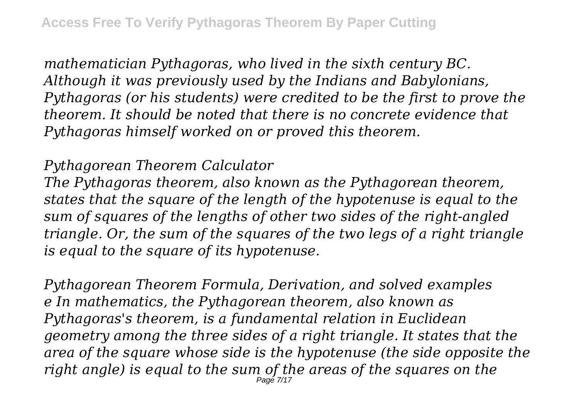*mathematician Pythagoras, who lived in the sixth century BC. Although it was previously used by the Indians and Babylonians, Pythagoras (or his students) were credited to be the first to prove the theorem. It should be noted that there is no concrete evidence that Pythagoras himself worked on or proved this theorem.*

#### *Pythagorean Theorem Calculator*

*The Pythagoras theorem, also known as the Pythagorean theorem, states that the square of the length of the hypotenuse is equal to the sum of squares of the lengths of other two sides of the right-angled triangle. Or, the sum of the squares of the two legs of a right triangle is equal to the square of its hypotenuse.*

*Pythagorean Theorem Formula, Derivation, and solved examples e In mathematics, the Pythagorean theorem, also known as Pythagoras's theorem, is a fundamental relation in Euclidean geometry among the three sides of a right triangle. It states that the area of the square whose side is the hypotenuse (the side opposite the right angle) is equal to the sum of the areas of the squares on the* Page 7/17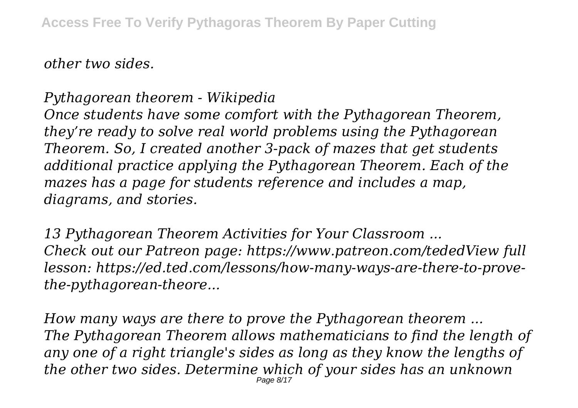*other two sides.*

# *Pythagorean theorem - Wikipedia*

*Once students have some comfort with the Pythagorean Theorem, they're ready to solve real world problems using the Pythagorean Theorem. So, I created another 3-pack of mazes that get students additional practice applying the Pythagorean Theorem. Each of the mazes has a page for students reference and includes a map, diagrams, and stories.*

*13 Pythagorean Theorem Activities for Your Classroom ... Check out our Patreon page: https://www.patreon.com/tededView full lesson: https://ed.ted.com/lessons/how-many-ways-are-there-to-provethe-pythagorean-theore...*

*How many ways are there to prove the Pythagorean theorem ... The Pythagorean Theorem allows mathematicians to find the length of any one of a right triangle's sides as long as they know the lengths of the other two sides. Determine which of your sides has an unknown* Page 8/17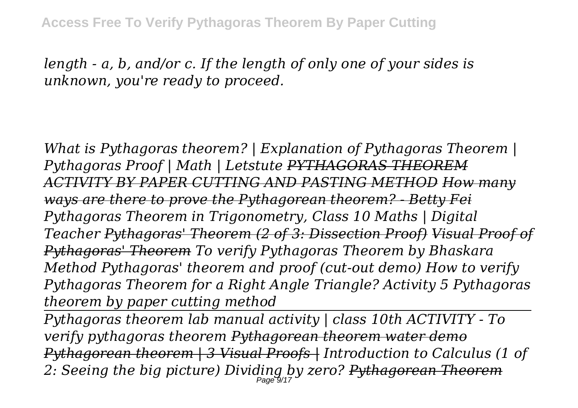*length - a, b, and/or c. If the length of only one of your sides is unknown, you're ready to proceed.*

*What is Pythagoras theorem? | Explanation of Pythagoras Theorem | Pythagoras Proof | Math | Letstute PYTHAGORAS THEOREM ACTIVITY BY PAPER CUTTING AND PASTING METHOD How many ways are there to prove the Pythagorean theorem? - Betty Fei Pythagoras Theorem in Trigonometry, Class 10 Maths | Digital Teacher Pythagoras' Theorem (2 of 3: Dissection Proof) Visual Proof of Pythagoras' Theorem To verify Pythagoras Theorem by Bhaskara Method Pythagoras' theorem and proof (cut-out demo) How to verify Pythagoras Theorem for a Right Angle Triangle? Activity 5 Pythagoras theorem by paper cutting method*

*Pythagoras theorem lab manual activity | class 10th ACTIVITY - To verify pythagoras theorem Pythagorean theorem water demo Pythagorean theorem | 3 Visual Proofs | Introduction to Calculus (1 of 2: Seeing the big picture) Dividing by zero? Pythagorean Theorem*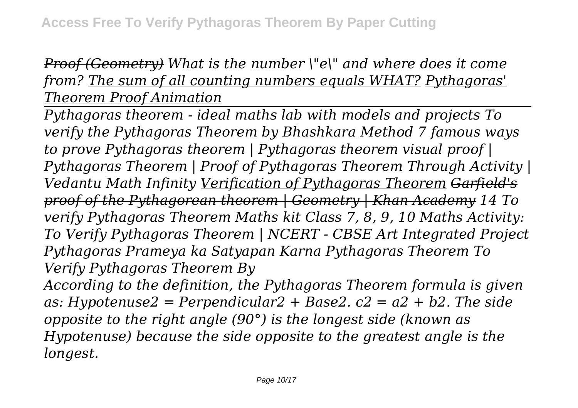# *Proof (Geometry) What is the number \"e\" and where does it come from? The sum of all counting numbers equals WHAT? Pythagoras' Theorem Proof Animation*

*Pythagoras theorem - ideal maths lab with models and projects To verify the Pythagoras Theorem by Bhashkara Method 7 famous ways to prove Pythagoras theorem | Pythagoras theorem visual proof | Pythagoras Theorem | Proof of Pythagoras Theorem Through Activity | Vedantu Math Infinity Verification of Pythagoras Theorem Garfield's proof of the Pythagorean theorem | Geometry | Khan Academy 14 To verify Pythagoras Theorem Maths kit Class 7, 8, 9, 10 Maths Activity: To Verify Pythagoras Theorem | NCERT - CBSE Art Integrated Project Pythagoras Prameya ka Satyapan Karna Pythagoras Theorem To Verify Pythagoras Theorem By*

*According to the definition, the Pythagoras Theorem formula is given as: Hypotenuse2 = Perpendicular2 + Base2. c2 = a2 + b2. The side opposite to the right angle (90°) is the longest side (known as Hypotenuse) because the side opposite to the greatest angle is the longest.*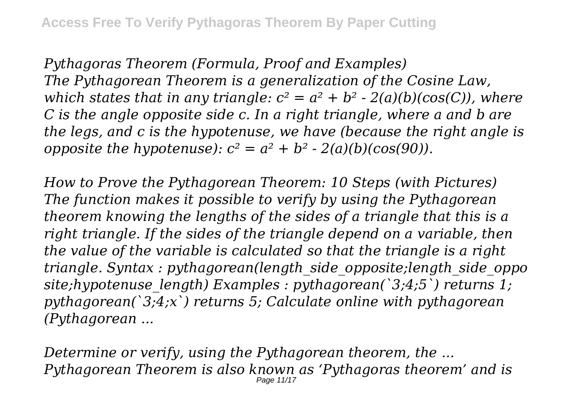*Pythagoras Theorem (Formula, Proof and Examples) The Pythagorean Theorem is a generalization of the Cosine Law, which states that in any triangle:*  $c^2 = a^2 + b^2 - 2(a)(b)(cos(C))$ , where *C is the angle opposite side c. In a right triangle, where a and b are the legs, and c is the hypotenuse, we have (because the right angle is opposite the hypotenuse):*  $c^2 = a^2 + b^2 - 2(a)(b)(cos(90))$ .

*How to Prove the Pythagorean Theorem: 10 Steps (with Pictures) The function makes it possible to verify by using the Pythagorean theorem knowing the lengths of the sides of a triangle that this is a right triangle. If the sides of the triangle depend on a variable, then the value of the variable is calculated so that the triangle is a right triangle. Syntax : pythagorean(length\_side\_opposite;length\_side\_oppo site;hypotenuse\_length) Examples : pythagorean(`3;4;5`) returns 1; pythagorean(`3;4;x`) returns 5; Calculate online with pythagorean (Pythagorean ...*

*Determine or verify, using the Pythagorean theorem, the ... Pythagorean Theorem is also known as 'Pythagoras theorem' and is* Page 11/17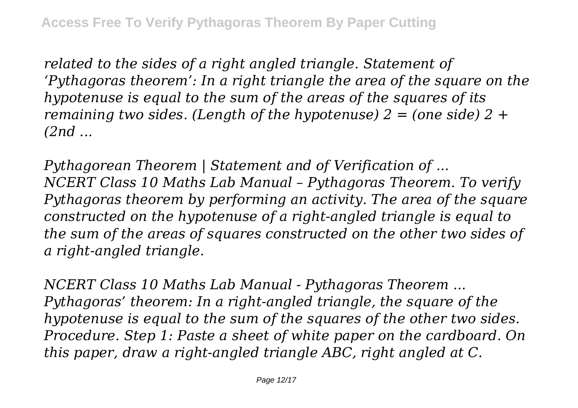*related to the sides of a right angled triangle. Statement of 'Pythagoras theorem': In a right triangle the area of the square on the hypotenuse is equal to the sum of the areas of the squares of its remaining two sides. (Length of the hypotenuse) 2 = (one side) 2 + (2nd ...*

*Pythagorean Theorem | Statement and of Verification of ... NCERT Class 10 Maths Lab Manual – Pythagoras Theorem. To verify Pythagoras theorem by performing an activity. The area of the square constructed on the hypotenuse of a right-angled triangle is equal to the sum of the areas of squares constructed on the other two sides of a right-angled triangle.*

*NCERT Class 10 Maths Lab Manual - Pythagoras Theorem ... Pythagoras' theorem: In a right-angled triangle, the square of the hypotenuse is equal to the sum of the squares of the other two sides. Procedure. Step 1: Paste a sheet of white paper on the cardboard. On this paper, draw a right-angled triangle ABC, right angled at C.*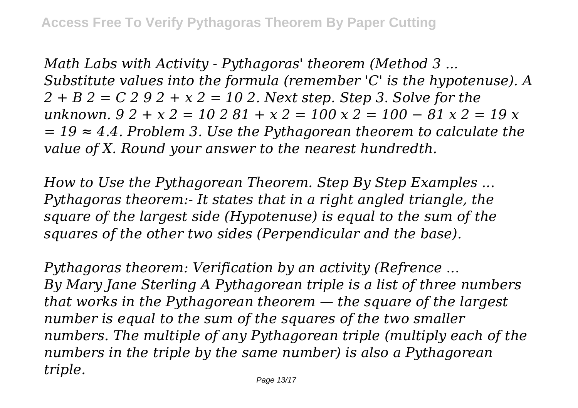*Math Labs with Activity - Pythagoras' theorem (Method 3 ... Substitute values into the formula (remember 'C' is the hypotenuse). A 2 + B 2 = C 2 9 2 + x 2 = 10 2. Next step. Step 3. Solve for the unknown. 9 2 + x 2 = 10 2 81 + x 2 = 100 x 2 = 100 − 81 x 2 = 19 x = 19 ≈ 4.4. Problem 3. Use the Pythagorean theorem to calculate the value of X. Round your answer to the nearest hundredth.*

*How to Use the Pythagorean Theorem. Step By Step Examples ... Pythagoras theorem:- It states that in a right angled triangle, the square of the largest side (Hypotenuse) is equal to the sum of the squares of the other two sides (Perpendicular and the base).*

*Pythagoras theorem: Verification by an activity (Refrence ... By Mary Jane Sterling A Pythagorean triple is a list of three numbers that works in the Pythagorean theorem — the square of the largest number is equal to the sum of the squares of the two smaller numbers. The multiple of any Pythagorean triple (multiply each of the numbers in the triple by the same number) is also a Pythagorean triple.*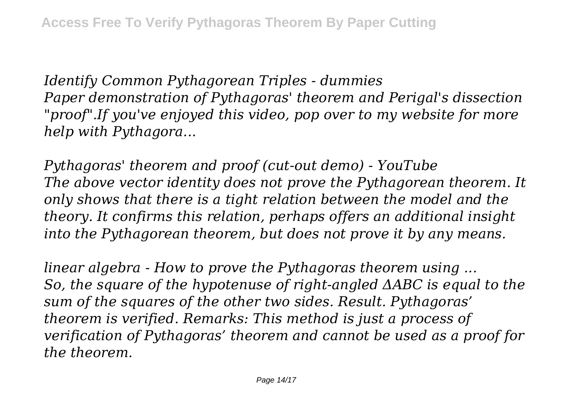*Identify Common Pythagorean Triples - dummies Paper demonstration of Pythagoras' theorem and Perigal's dissection "proof".If you've enjoyed this video, pop over to my website for more help with Pythagora...*

*Pythagoras' theorem and proof (cut-out demo) - YouTube The above vector identity does not prove the Pythagorean theorem. It only shows that there is a tight relation between the model and the theory. It confirms this relation, perhaps offers an additional insight into the Pythagorean theorem, but does not prove it by any means.*

*linear algebra - How to prove the Pythagoras theorem using ... So, the square of the hypotenuse of right-angled ΔABC is equal to the sum of the squares of the other two sides. Result. Pythagoras' theorem is verified. Remarks: This method is just a process of verification of Pythagoras' theorem and cannot be used as a proof for the theorem.*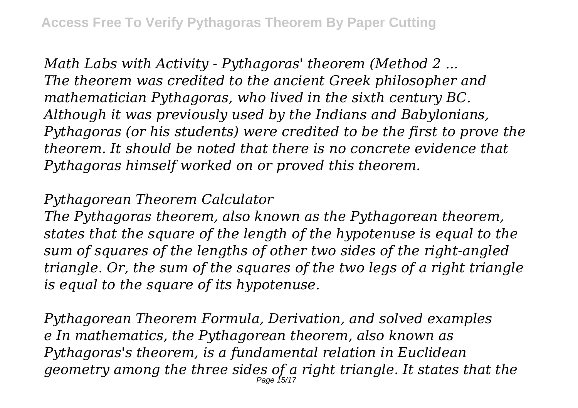*Math Labs with Activity - Pythagoras' theorem (Method 2 ... The theorem was credited to the ancient Greek philosopher and mathematician Pythagoras, who lived in the sixth century BC. Although it was previously used by the Indians and Babylonians, Pythagoras (or his students) were credited to be the first to prove the theorem. It should be noted that there is no concrete evidence that Pythagoras himself worked on or proved this theorem.*

### *Pythagorean Theorem Calculator*

*The Pythagoras theorem, also known as the Pythagorean theorem, states that the square of the length of the hypotenuse is equal to the sum of squares of the lengths of other two sides of the right-angled triangle. Or, the sum of the squares of the two legs of a right triangle is equal to the square of its hypotenuse.*

*Pythagorean Theorem Formula, Derivation, and solved examples e In mathematics, the Pythagorean theorem, also known as Pythagoras's theorem, is a fundamental relation in Euclidean geometry among the three sides of a right triangle. It states that the* Page 15/17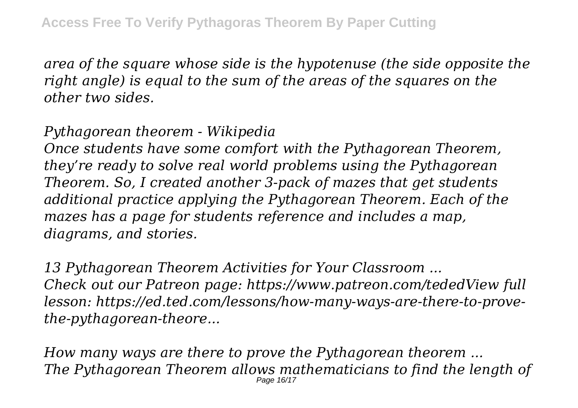*area of the square whose side is the hypotenuse (the side opposite the right angle) is equal to the sum of the areas of the squares on the other two sides.*

## *Pythagorean theorem - Wikipedia*

*Once students have some comfort with the Pythagorean Theorem, they're ready to solve real world problems using the Pythagorean Theorem. So, I created another 3-pack of mazes that get students additional practice applying the Pythagorean Theorem. Each of the mazes has a page for students reference and includes a map, diagrams, and stories.*

*13 Pythagorean Theorem Activities for Your Classroom ... Check out our Patreon page: https://www.patreon.com/tededView full lesson: https://ed.ted.com/lessons/how-many-ways-are-there-to-provethe-pythagorean-theore...*

*How many ways are there to prove the Pythagorean theorem ... The Pythagorean Theorem allows mathematicians to find the length of* Page 16/17